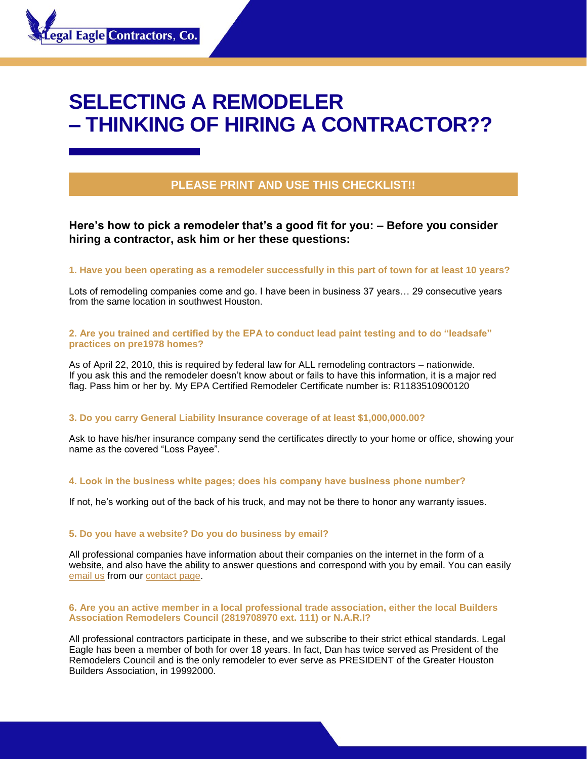# **SELECTING A REMODELER – THINKING OF HIRING A CONTRACTOR??**

# **PLEASE PRINT AND USE THIS CHECKLIST!!**

**Here's how to pick a remodeler that's a good fit for you: – Before you consider hiring a contractor, ask him or her these questions:** 

## **1. Have you been operating as a remodeler successfully in this part of town for at least 10 years?**

Lots of remodeling companies come and go. I have been in business 37 years… 29 consecutive years from the same location in southwest Houston.

# **2. Are you trained and certified by the EPA to conduct lead paint testing and to do "leadsafe" practices on pre1978 homes?**

As of April 22, 2010, this is required by federal law for ALL remodeling contractors – nationwide. If you ask this and the remodeler doesn't know about or fails to have this information, it is a major red flag. Pass him or her by. My EPA Certified Remodeler Certificate number is: R1183510900120

# **3. Do you carry General Liability Insurance coverage of at least \$1,000,000.00?**

Ask to have his/her insurance company send the certificates directly to your home or office, showing your name as the covered "Loss Payee".

#### **4. Look in the business white pages; does his company have business phone number?**

If not, he's working out of the back of his truck, and may not be there to honor any warranty issues.

#### **5. Do you have a website? Do you do business by email?**

All professional companies have information about their companies on the internet in the form of a website, and also have the ability to answer questions and correspond with you by email. You can easily [email us](mailto:http://www.legaleaglecontractors.com/contact-us/) from our [contact page.](mailto:http://www.legaleaglecontractors.com/contact-us/)

#### **6. Are you an active member in a local professional trade association, either the local Builders Association Remodelers Council (2819708970 ext. 111) or N.A.R.I?**

All professional contractors participate in these, and we subscribe to their strict ethical standards. Legal Eagle has been a member of both for over 18 years. In fact, Dan has twice served as President of the Remodelers Council and is the only remodeler to ever serve as PRESIDENT of the Greater Houston Builders Association, in 19992000.